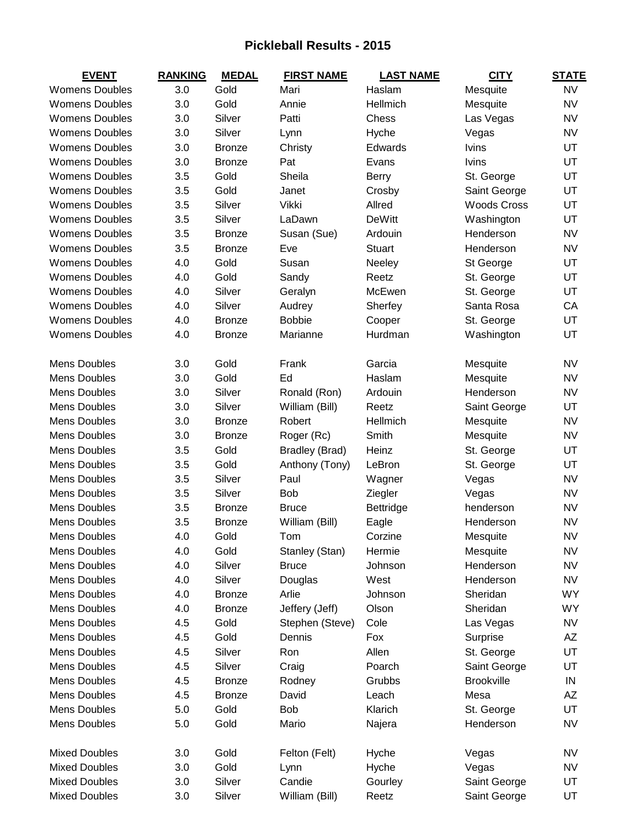## **Pickleball Results - 2015**

| <b>EVENT</b>          | <b>RANKING</b> | <b>MEDAL</b>  | <b>FIRST NAME</b> | <b>LAST NAME</b> | <b>CITY</b>        | <b>STATE</b> |
|-----------------------|----------------|---------------|-------------------|------------------|--------------------|--------------|
| <b>Womens Doubles</b> | 3.0            | Gold          | Mari              | Haslam           | Mesquite           | <b>NV</b>    |
| <b>Womens Doubles</b> | 3.0            | Gold          | Annie             | Hellmich         | Mesquite           | <b>NV</b>    |
| <b>Womens Doubles</b> | 3.0            | Silver        | Patti             | Chess            | Las Vegas          | <b>NV</b>    |
| <b>Womens Doubles</b> | 3.0            | Silver        | Lynn              | Hyche            | Vegas              | <b>NV</b>    |
| <b>Womens Doubles</b> | 3.0            | <b>Bronze</b> | Christy           | Edwards          | <b>lvins</b>       | UT           |
| <b>Womens Doubles</b> | 3.0            | <b>Bronze</b> | Pat               | Evans            | <b>lvins</b>       | UT           |
| <b>Womens Doubles</b> | 3.5            | Gold          | Sheila            | <b>Berry</b>     | St. George         | UT           |
| <b>Womens Doubles</b> | 3.5            | Gold          | Janet             | Crosby           | Saint George       | UT           |
| <b>Womens Doubles</b> | 3.5            | Silver        | Vikki             | Allred           | <b>Woods Cross</b> | UT           |
| <b>Womens Doubles</b> | 3.5            | Silver        | LaDawn            | DeWitt           | Washington         | UT           |
| <b>Womens Doubles</b> | 3.5            | <b>Bronze</b> | Susan (Sue)       | Ardouin          | Henderson          | <b>NV</b>    |
| <b>Womens Doubles</b> | 3.5            | <b>Bronze</b> | Eve               | <b>Stuart</b>    | Henderson          | <b>NV</b>    |
| <b>Womens Doubles</b> | 4.0            | Gold          | Susan             | Neeley           | St George          | UT           |
| <b>Womens Doubles</b> | 4.0            | Gold          | Sandy             | Reetz            | St. George         | UT           |
| <b>Womens Doubles</b> | 4.0            | Silver        | Geralyn           | McEwen           | St. George         | UT           |
| <b>Womens Doubles</b> | 4.0            | Silver        | Audrey            | Sherfey          | Santa Rosa         | CA           |
| <b>Womens Doubles</b> | 4.0            | <b>Bronze</b> | <b>Bobbie</b>     | Cooper           | St. George         | UT           |
| <b>Womens Doubles</b> | 4.0            | <b>Bronze</b> | Marianne          | Hurdman          | Washington         | UT           |
|                       |                |               |                   |                  |                    |              |
| <b>Mens Doubles</b>   | 3.0            | Gold          | Frank             | Garcia           | Mesquite           | <b>NV</b>    |
| <b>Mens Doubles</b>   | 3.0            | Gold          | Ed                | Haslam           | Mesquite           | <b>NV</b>    |
| <b>Mens Doubles</b>   | 3.0            | Silver        | Ronald (Ron)      | Ardouin          | Henderson          | <b>NV</b>    |
| Mens Doubles          | 3.0            | Silver        | William (Bill)    | Reetz            | Saint George       | UT           |
| <b>Mens Doubles</b>   | 3.0            | <b>Bronze</b> | Robert            | Hellmich         | Mesquite           | <b>NV</b>    |
| Mens Doubles          | 3.0            | <b>Bronze</b> | Roger (Rc)        | Smith            | Mesquite           | <b>NV</b>    |
| Mens Doubles          | 3.5            | Gold          | Bradley (Brad)    | Heinz            | St. George         | UT           |
| <b>Mens Doubles</b>   | 3.5            | Gold          | Anthony (Tony)    | LeBron           | St. George         | UT           |
| Mens Doubles          | 3.5            | Silver        | Paul              | Wagner           | Vegas              | <b>NV</b>    |
| Mens Doubles          | 3.5            | Silver        | Bob               | Ziegler          | Vegas              | <b>NV</b>    |
| Mens Doubles          | 3.5            | <b>Bronze</b> | <b>Bruce</b>      | Bettridge        | henderson          | <b>NV</b>    |
| Mens Doubles          | 3.5            | <b>Bronze</b> | William (Bill)    | Eagle            | Henderson          | <b>NV</b>    |
| <b>Mens Doubles</b>   | 4.0            | Gold          | Tom               | Corzine          | Mesquite           | <b>NV</b>    |
| Mens Doubles          | 4.0            | Gold          | Stanley (Stan)    | Hermie           | Mesquite           | <b>NV</b>    |
| Mens Doubles          | 4.0            | Silver        | <b>Bruce</b>      | Johnson          | Henderson          | <b>NV</b>    |
| <b>Mens Doubles</b>   | 4.0            | Silver        | Douglas           | West             | Henderson          | <b>NV</b>    |
| <b>Mens Doubles</b>   | 4.0            | <b>Bronze</b> | Arlie             | Johnson          | Sheridan           | WY           |
| <b>Mens Doubles</b>   | 4.0            | <b>Bronze</b> | Jeffery (Jeff)    | Olson            | Sheridan           | <b>WY</b>    |
| Mens Doubles          | 4.5            | Gold          | Stephen (Steve)   | Cole             | Las Vegas          | <b>NV</b>    |
| <b>Mens Doubles</b>   | 4.5            | Gold          | Dennis            | Fox              | Surprise           | AΖ           |
| Mens Doubles          | 4.5            | Silver        | Ron               | Allen            | St. George         | UT           |
| Mens Doubles          | 4.5            | Silver        | Craig             | Poarch           | Saint George       | UT           |
| <b>Mens Doubles</b>   | 4.5            | <b>Bronze</b> | Rodney            | Grubbs           | <b>Brookville</b>  | IN           |
| Mens Doubles          | 4.5            | <b>Bronze</b> | David             | Leach            | Mesa               | AΖ           |
| <b>Mens Doubles</b>   | 5.0            | Gold          | Bob               | Klarich          | St. George         | UT           |
| Mens Doubles          | 5.0            | Gold          | Mario             | Najera           | Henderson          | <b>NV</b>    |
|                       |                |               |                   |                  |                    |              |
| <b>Mixed Doubles</b>  | 3.0            | Gold          | Felton (Felt)     | Hyche            | Vegas              | NV           |
| <b>Mixed Doubles</b>  | 3.0            | Gold          | Lynn              | Hyche            | Vegas              | <b>NV</b>    |
| <b>Mixed Doubles</b>  | 3.0            | Silver        | Candie            | Gourley          | Saint George       | UT           |
| <b>Mixed Doubles</b>  | 3.0            | Silver        | William (Bill)    | Reetz            | Saint George       | UT           |